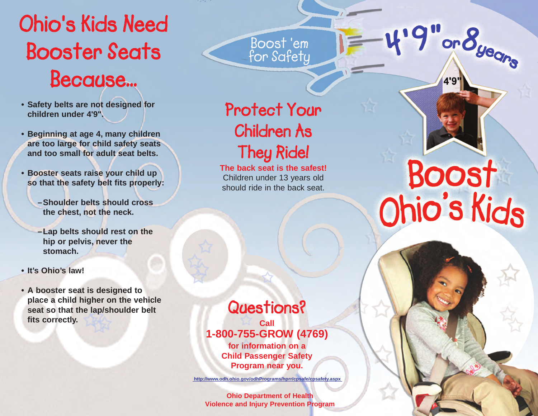## **Ohio's Kids Need Booster Seats Because...**

- **• Safety belts are not designed for children under 4'9".**
- **• Beginning at age 4, many children are too large for child safety seats and too small for adult seat belts.**
- **• Booster seats raise your child up so that the safety belt fits properly:**
	- **–Shoulder belts should cross the chest, not the neck.**
	- **–Lap belts should rest on the hip or pelvis, never the stomach.**
- **• It's Ohio's law!**
- **• A booster seat is designed to place a child higher on the vehicle seat so that the lap/shoulder belt fits correctly.**

### **Protect Your Children As They Ride!**

Boost'em<br>for Safety

**The back seat is the safest!**  Children under 13 years old should ride in the back seat.

### **Questions?**

**Call 1-800-755-GROW (4769)**

**for information on a Child Passenger Safety Program near you.**

**http://www.odh.ohio.gov/odhPrograms/hprr/cpsafe/cpsafety.aspx** 

**Ohio Department of Health Violence and Injury Prevention Program**

# Boost Ohio's Kids

 $\mathbf{B}$ 

l or

KIDS